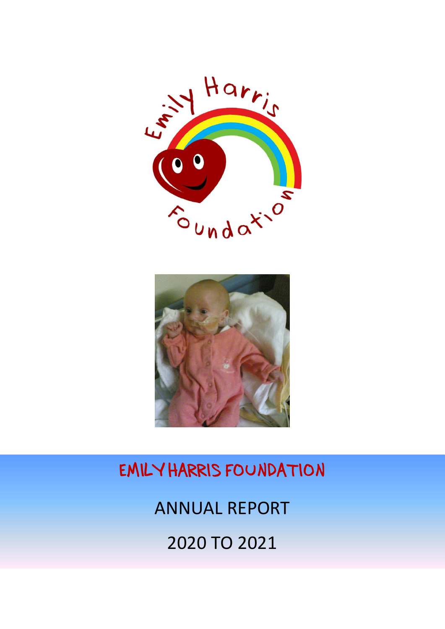# Harris EMILY Foundation



EMILY HARRIS FOUNDATION

ANNUAL REPORT

2020 TO 2021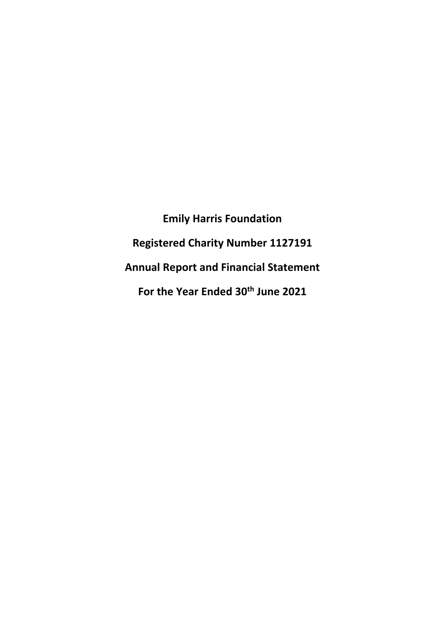**Emily Harris Foundation Registered Charity Number 1127191 Annual Report and Financial Statement For the Year Ended 30th June 2021**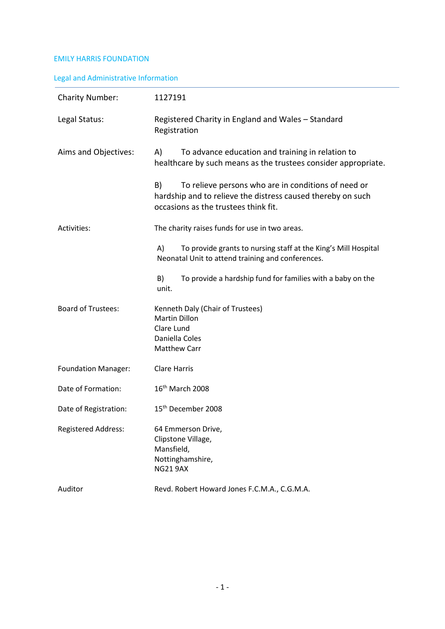# Legal and Administrative Information

| <b>Charity Number:</b>     | 1127191                                                                                                                                                          |  |
|----------------------------|------------------------------------------------------------------------------------------------------------------------------------------------------------------|--|
| Legal Status:              | Registered Charity in England and Wales - Standard<br>Registration                                                                                               |  |
| Aims and Objectives:       | To advance education and training in relation to<br>A)<br>healthcare by such means as the trustees consider appropriate.                                         |  |
|                            | B)<br>To relieve persons who are in conditions of need or<br>hardship and to relieve the distress caused thereby on such<br>occasions as the trustees think fit. |  |
| Activities:                | The charity raises funds for use in two areas.                                                                                                                   |  |
|                            | A)<br>To provide grants to nursing staff at the King's Mill Hospital<br>Neonatal Unit to attend training and conferences.                                        |  |
|                            | B)<br>To provide a hardship fund for families with a baby on the<br>unit.                                                                                        |  |
| <b>Board of Trustees:</b>  | Kenneth Daly (Chair of Trustees)<br>Martin Dillon<br>Clare Lund<br>Daniella Coles<br><b>Matthew Carr</b>                                                         |  |
| <b>Foundation Manager:</b> | <b>Clare Harris</b>                                                                                                                                              |  |
| Date of Formation:         | 16 <sup>th</sup> March 2008                                                                                                                                      |  |
| Date of Registration:      | 15 <sup>th</sup> December 2008                                                                                                                                   |  |
| <b>Registered Address:</b> | 64 Emmerson Drive,<br>Clipstone Village,<br>Mansfield,<br>Nottinghamshire,<br><b>NG21 9AX</b>                                                                    |  |
| Auditor                    | Revd. Robert Howard Jones F.C.M.A., C.G.M.A.                                                                                                                     |  |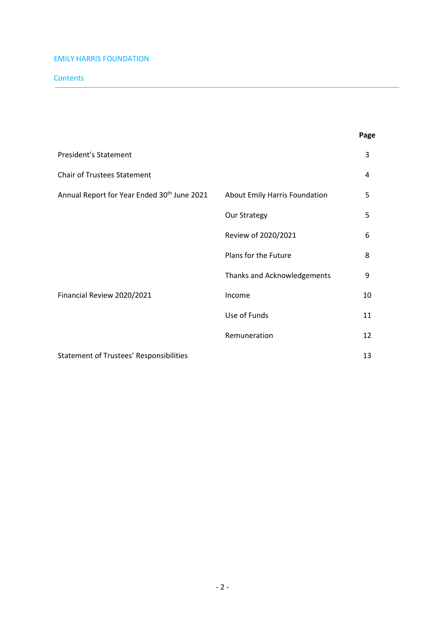# **Contents**

|                                                         |                               | Page |
|---------------------------------------------------------|-------------------------------|------|
| President's Statement                                   |                               | 3    |
| <b>Chair of Trustees Statement</b>                      |                               | 4    |
| Annual Report for Year Ended 30 <sup>th</sup> June 2021 | About Emily Harris Foundation | 5    |
|                                                         | Our Strategy                  | 5    |
|                                                         | Review of 2020/2021           | 6    |
|                                                         | Plans for the Future          | 8    |
|                                                         | Thanks and Acknowledgements   | 9    |
| Financial Review 2020/2021                              | Income                        | 10   |
|                                                         | Use of Funds                  | 11   |
|                                                         | Remuneration                  | 12   |
| <b>Statement of Trustees' Responsibilities</b>          |                               |      |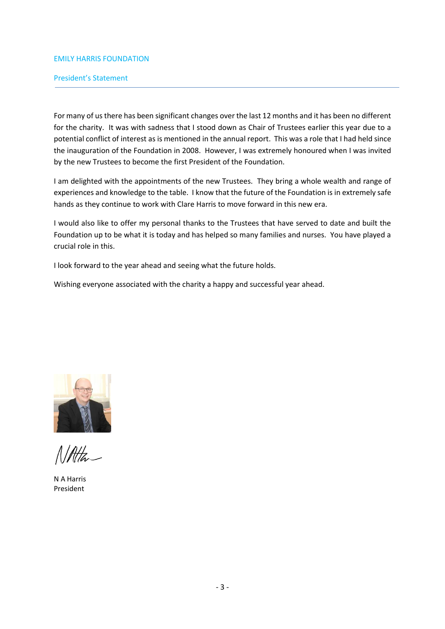## President's Statement

For many of us there has been significant changes over the last 12 months and it has been no different for the charity. It was with sadness that I stood down as Chair of Trustees earlier this year due to a potential conflict of interest as is mentioned in the annual report. This was a role that I had held since the inauguration of the Foundation in 2008. However, I was extremely honoured when I was invited by the new Trustees to become the first President of the Foundation.

I am delighted with the appointments of the new Trustees. They bring a whole wealth and range of experiences and knowledge to the table. I know that the future of the Foundation is in extremely safe hands as they continue to work with Clare Harris to move forward in this new era.

I would also like to offer my personal thanks to the Trustees that have served to date and built the Foundation up to be what it is today and has helped so many families and nurses. You have played a crucial role in this.

I look forward to the year ahead and seeing what the future holds.

Wishing everyone associated with the charity a happy and successful year ahead.



 $N$ Alta

N A Harris President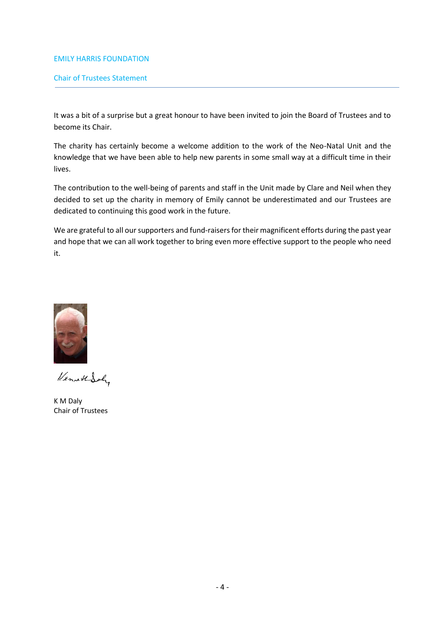# Chair of Trustees Statement

It was a bit of a surprise but a great honour to have been invited to join the Board of Trustees and to become its Chair.

The charity has certainly become a welcome addition to the work of the Neo-Natal Unit and the knowledge that we have been able to help new parents in some small way at a difficult time in their lives.

The contribution to the well-being of parents and staff in the Unit made by Clare and Neil when they decided to set up the charity in memory of Emily cannot be underestimated and our Trustees are dedicated to continuing this good work in the future.

We are grateful to all our supporters and fund-raisers for their magnificent efforts during the past year and hope that we can all work together to bring even more effective support to the people who need it.



KennettSch

K M Daly Chair of Trustees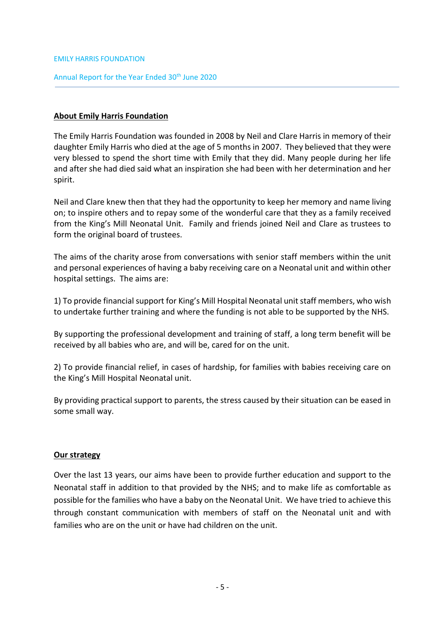# Annual Report for the Year Ended 30<sup>th</sup> June 2020

# **About Emily Harris Foundation**

The Emily Harris Foundation was founded in 2008 by Neil and Clare Harris in memory of their daughter Emily Harris who died at the age of 5 months in 2007. They believed that they were very blessed to spend the short time with Emily that they did. Many people during her life and after she had died said what an inspiration she had been with her determination and her spirit.

Neil and Clare knew then that they had the opportunity to keep her memory and name living on; to inspire others and to repay some of the wonderful care that they as a family received from the King's Mill Neonatal Unit. Family and friends joined Neil and Clare as trustees to form the original board of trustees.

The aims of the charity arose from conversations with senior staff members within the unit and personal experiences of having a baby receiving care on a Neonatal unit and within other hospital settings. The aims are:

1) To provide financial support for King's Mill Hospital Neonatal unit staff members, who wish to undertake further training and where the funding is not able to be supported by the NHS.

By supporting the professional development and training of staff, a long term benefit will be received by all babies who are, and will be, cared for on the unit.

2) To provide financial relief, in cases of hardship, for families with babies receiving care on the King's Mill Hospital Neonatal unit.

By providing practical support to parents, the stress caused by their situation can be eased in some small way.

# **Our strategy**

Over the last 13 years, our aims have been to provide further education and support to the Neonatal staff in addition to that provided by the NHS; and to make life as comfortable as possible for the families who have a baby on the Neonatal Unit. We have tried to achieve this through constant communication with members of staff on the Neonatal unit and with families who are on the unit or have had children on the unit.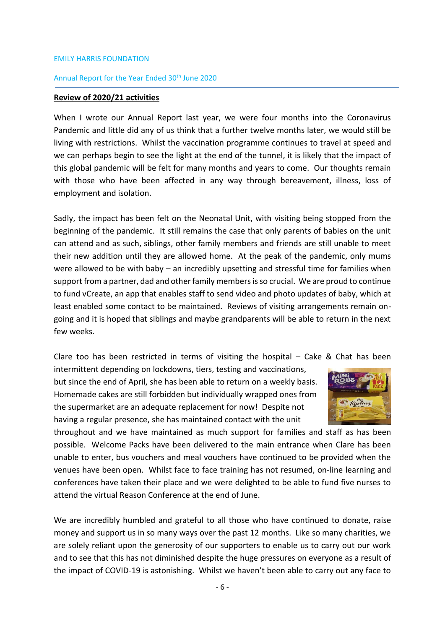## Annual Report for the Year Ended 30<sup>th</sup> June 2020

# **Review of 2020/21 activities**

When I wrote our Annual Report last year, we were four months into the Coronavirus Pandemic and little did any of us think that a further twelve months later, we would still be living with restrictions. Whilst the vaccination programme continues to travel at speed and we can perhaps begin to see the light at the end of the tunnel, it is likely that the impact of this global pandemic will be felt for many months and years to come. Our thoughts remain with those who have been affected in any way through bereavement, illness, loss of employment and isolation.

Sadly, the impact has been felt on the Neonatal Unit, with visiting being stopped from the beginning of the pandemic. It still remains the case that only parents of babies on the unit can attend and as such, siblings, other family members and friends are still unable to meet their new addition until they are allowed home. At the peak of the pandemic, only mums were allowed to be with baby – an incredibly upsetting and stressful time for families when support from a partner, dad and other family members is so crucial. We are proud to continue to fund vCreate, an app that enables staff to send video and photo updates of baby, which at least enabled some contact to be maintained. Reviews of visiting arrangements remain ongoing and it is hoped that siblings and maybe grandparents will be able to return in the next few weeks.

Clare too has been restricted in terms of visiting the hospital  $-$  Cake & Chat has been

intermittent depending on lockdowns, tiers, testing and vaccinations, but since the end of April, she has been able to return on a weekly basis. Homemade cakes are still forbidden but individually wrapped ones from the supermarket are an adequate replacement for now! Despite not having a regular presence, she has maintained contact with the unit



throughout and we have maintained as much support for families and staff as has been possible. Welcome Packs have been delivered to the main entrance when Clare has been unable to enter, bus vouchers and meal vouchers have continued to be provided when the venues have been open. Whilst face to face training has not resumed, on-line learning and conferences have taken their place and we were delighted to be able to fund five nurses to attend the virtual Reason Conference at the end of June.

We are incredibly humbled and grateful to all those who have continued to donate, raise money and support us in so many ways over the past 12 months. Like so many charities, we are solely reliant upon the generosity of our supporters to enable us to carry out our work and to see that this has not diminished despite the huge pressures on everyone as a result of the impact of COVID-19 is astonishing. Whilst we haven't been able to carry out any face to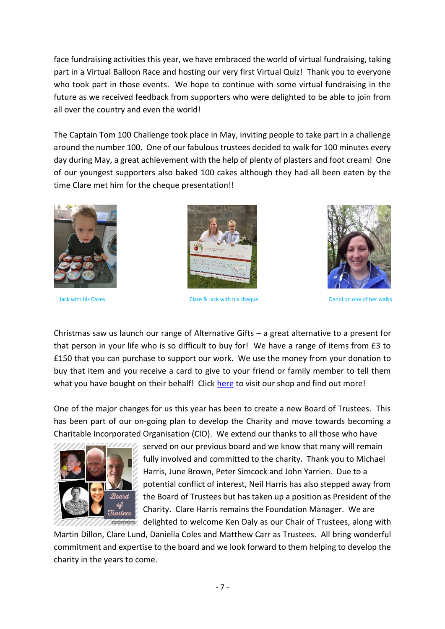face fundraising activities this year, we have embraced the world of virtual fundraising, taking part in a Virtual Balloon Race and hosting our very first Virtual Quiz! Thank you to everyone who took part in those events. We hope to continue with some virtual fundraising in the future as we received feedback from supporters who were delighted to be able to join from all over the country and even the world!

The Captain Tom 100 Challenge took place in May, inviting people to take part in a challenge around the number 100. One of our fabulous trustees decided to walk for 100 minutes every day during May, a great achievement with the help of plenty of plasters and foot cream! One of our youngest supporters also baked 100 cakes although they had all been eaten by the time Clare met him for the cheque presentation!!





Jack with his Cakes Clare & Jack with his cheque Danni on one of her walks



Christmas saw us launch our range of Alternative Gifts – a great alternative to a present for that person in your life who is so difficult to buy for! We have a range of items from £3 to £150 that you can purchase to support our work. We use the money from your donation to buy that item and you receive a card to give to your friend or family member to tell them what you have bought on their behalf! Click [here](https://emily-harris-foundation-shop.square.site/) to visit our shop and find out more!

One of the major changes for us this year has been to create a new Board of Trustees. This has been part of our on-going plan to develop the Charity and move towards becoming a Charitable Incorporated Organisation (CIO). We extend our thanks to all those who have



 served on our previous board and we know that many will remain fully involved and committed to the charity. Thank you to Michael Harris, June Brown, Peter Simcock and John Yarrien. Due to a potential conflict of interest, Neil Harris has also stepped away from  $s$ Board  $t$  the Board of Trustees but has taken up a position as President of the  $\frac{v}{250}$  Charity. Clare Harris remains the Foundation Manager. We are *divisions* delighted to welcome Ken Daly as our Chair of Trustees, along with

Martin Dillon, Clare Lund, Daniella Coles and Matthew Carr as Trustees. All bring wonderful commitment and expertise to the board and we look forward to them helping to develop the charity in the years to come.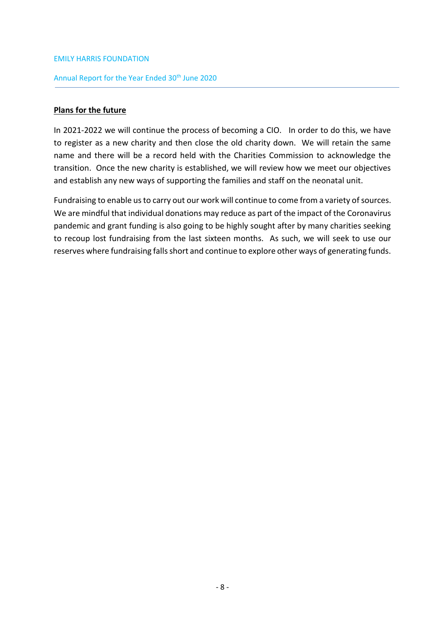# Annual Report for the Year Ended 30<sup>th</sup> June 2020

# **Plans for the future**

In 2021-2022 we will continue the process of becoming a CIO. In order to do this, we have to register as a new charity and then close the old charity down. We will retain the same name and there will be a record held with the Charities Commission to acknowledge the transition. Once the new charity is established, we will review how we meet our objectives and establish any new ways of supporting the families and staff on the neonatal unit.

Fundraising to enable us to carry out our work will continue to come from a variety of sources. We are mindful that individual donations may reduce as part of the impact of the Coronavirus pandemic and grant funding is also going to be highly sought after by many charities seeking to recoup lost fundraising from the last sixteen months. As such, we will seek to use our reserves where fundraising falls short and continue to explore other ways of generating funds.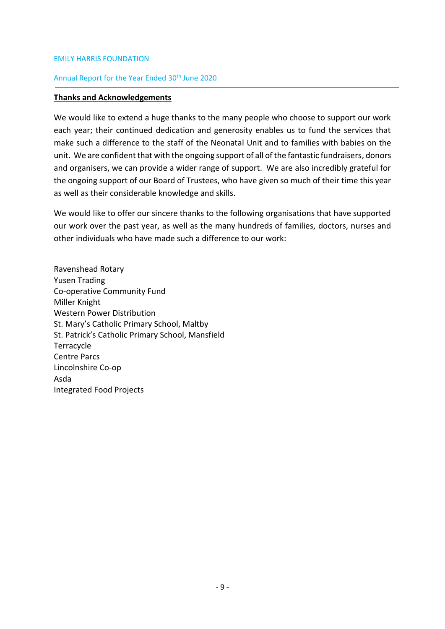# Annual Report for the Year Ended 30<sup>th</sup> June 2020

## **Thanks and Acknowledgements**

We would like to extend a huge thanks to the many people who choose to support our work each year; their continued dedication and generosity enables us to fund the services that make such a difference to the staff of the Neonatal Unit and to families with babies on the unit. We are confident that with the ongoing support of all of the fantastic fundraisers, donors and organisers, we can provide a wider range of support. We are also incredibly grateful for the ongoing support of our Board of Trustees, who have given so much of their time this year as well as their considerable knowledge and skills.

We would like to offer our sincere thanks to the following organisations that have supported our work over the past year, as well as the many hundreds of families, doctors, nurses and other individuals who have made such a difference to our work:

Ravenshead Rotary Yusen Trading Co-operative Community Fund Miller Knight Western Power Distribution St. Mary's Catholic Primary School, Maltby St. Patrick's Catholic Primary School, Mansfield **Terracycle** Centre Parcs Lincolnshire Co-op Asda Integrated Food Projects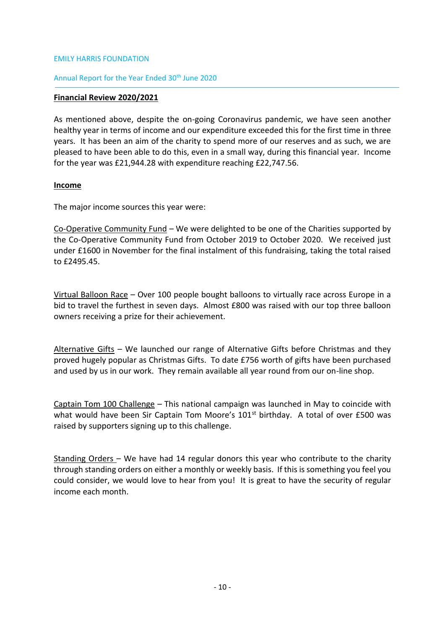# Annual Report for the Year Ended 30<sup>th</sup> June 2020

## **Financial Review 2020/2021**

As mentioned above, despite the on-going Coronavirus pandemic, we have seen another healthy year in terms of income and our expenditure exceeded this for the first time in three years. It has been an aim of the charity to spend more of our reserves and as such, we are pleased to have been able to do this, even in a small way, during this financial year. Income for the year was £21,944.28 with expenditure reaching £22,747.56.

# **Income**

The major income sources this year were:

Co-Operative Community Fund – We were delighted to be one of the Charities supported by the Co-Operative Community Fund from October 2019 to October 2020. We received just under £1600 in November for the final instalment of this fundraising, taking the total raised to £2495.45.

Virtual Balloon Race - Over 100 people bought balloons to virtually race across Europe in a bid to travel the furthest in seven days. Almost £800 was raised with our top three balloon owners receiving a prize for their achievement.

Alternative Gifts – We launched our range of Alternative Gifts before Christmas and they proved hugely popular as Christmas Gifts. To date £756 worth of gifts have been purchased and used by us in our work. They remain available all year round from our on-line shop.

Captain Tom 100 Challenge – This national campaign was launched in May to coincide with what would have been Sir Captain Tom Moore's  $101<sup>st</sup>$  birthday. A total of over £500 was raised by supporters signing up to this challenge.

Standing Orders – We have had 14 regular donors this year who contribute to the charity through standing orders on either a monthly or weekly basis. If this is something you feel you could consider, we would love to hear from you! It is great to have the security of regular income each month.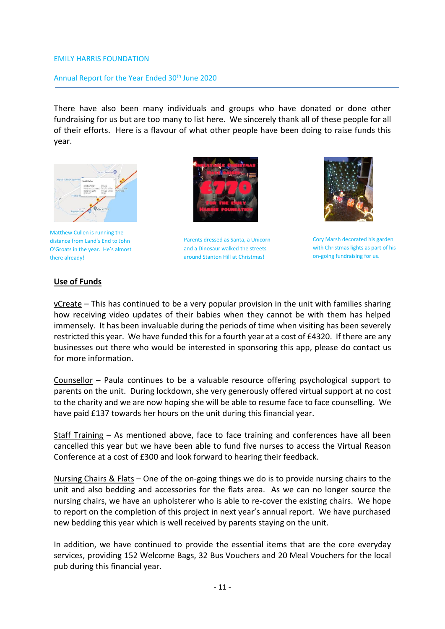# Annual Report for the Year Ended 30<sup>th</sup> June 2020

There have also been many individuals and groups who have donated or done other fundraising for us but are too many to list here. We sincerely thank all of these people for all of their efforts. Here is a flavour of what other people have been doing to raise funds this year.



Matthew Cullen is running the distance from Land's End to John O'Groats in the year. He's almost there already!



Parents dressed as Santa, a Unicorn and a Dinosaur walked the streets around Stanton Hill at Christmas!



Cory Marsh decorated his garden with Christmas lights as part of his on-going fundraising for us.

# **Use of Funds**

vCreate – This has continued to be a very popular provision in the unit with families sharing how receiving video updates of their babies when they cannot be with them has helped immensely. It has been invaluable during the periods of time when visiting has been severely restricted this year. We have funded this for a fourth year at a cost of £4320. If there are any businesses out there who would be interested in sponsoring this app, please do contact us for more information.

Counsellor – Paula continues to be a valuable resource offering psychological support to parents on the unit. During lockdown, she very generously offered virtual support at no cost to the charity and we are now hoping she will be able to resume face to face counselling. We have paid £137 towards her hours on the unit during this financial year.

Staff Training – As mentioned above, face to face training and conferences have all been cancelled this year but we have been able to fund five nurses to access the Virtual Reason Conference at a cost of £300 and look forward to hearing their feedback.

Nursing Chairs & Flats – One of the on-going things we do is to provide nursing chairs to the unit and also bedding and accessories for the flats area. As we can no longer source the nursing chairs, we have an upholsterer who is able to re-cover the existing chairs. We hope to report on the completion of this project in next year's annual report. We have purchased new bedding this year which is well received by parents staying on the unit.

In addition, we have continued to provide the essential items that are the core everyday services, providing 152 Welcome Bags, 32 Bus Vouchers and 20 Meal Vouchers for the local pub during this financial year.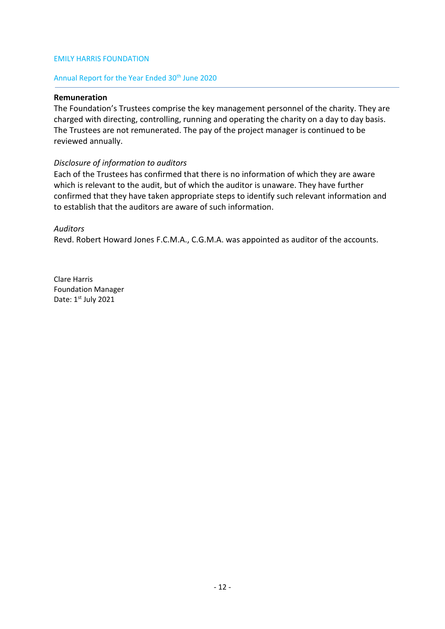# Annual Report for the Year Ended 30<sup>th</sup> June 2020

## **Remuneration**

The Foundation's Trustees comprise the key management personnel of the charity. They are charged with directing, controlling, running and operating the charity on a day to day basis. The Trustees are not remunerated. The pay of the project manager is continued to be reviewed annually.

# *Disclosure of information to auditors*

Each of the Trustees has confirmed that there is no information of which they are aware which is relevant to the audit, but of which the auditor is unaware. They have further confirmed that they have taken appropriate steps to identify such relevant information and to establish that the auditors are aware of such information.

# *Auditors*

Revd. Robert Howard Jones F.C.M.A., C.G.M.A. was appointed as auditor of the accounts.

Clare Harris Foundation Manager Date: 1st July 2021